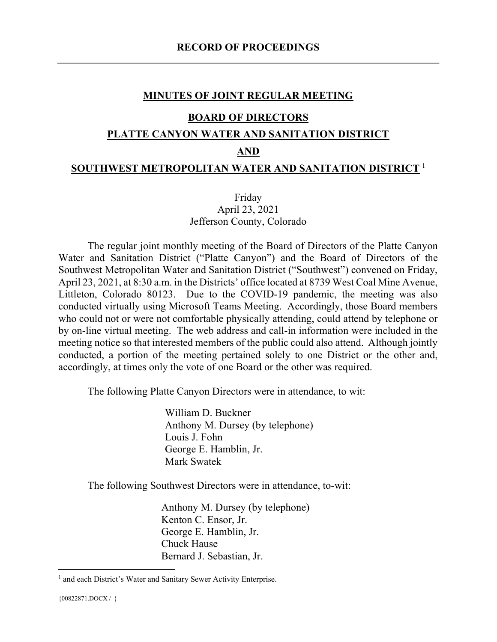### MINUTES OF JOINT REGULAR MEETING

#### BOARD OF DIRECTORS

#### PLATTE CANYON WATER AND SANITATION DISTRICT

### AND

#### SOUTHWEST METROPOLITAN WATER AND SANITATION DISTRICT  $^1$

### Friday April 23, 2021 Jefferson County, Colorado

The regular joint monthly meeting of the Board of Directors of the Platte Canyon Water and Sanitation District ("Platte Canyon") and the Board of Directors of the Southwest Metropolitan Water and Sanitation District ("Southwest") convened on Friday, April 23, 2021, at 8:30 a.m. in the Districts' office located at 8739 West Coal Mine Avenue, Littleton, Colorado 80123. Due to the COVID-19 pandemic, the meeting was also conducted virtually using Microsoft Teams Meeting. Accordingly, those Board members who could not or were not comfortable physically attending, could attend by telephone or by on-line virtual meeting. The web address and call-in information were included in the meeting notice so that interested members of the public could also attend. Although jointly conducted, a portion of the meeting pertained solely to one District or the other and, accordingly, at times only the vote of one Board or the other was required.

The following Platte Canyon Directors were in attendance, to wit:

William D. Buckner Anthony M. Dursey (by telephone) Louis J. Fohn George E. Hamblin, Jr. Mark Swatek

The following Southwest Directors were in attendance, to-wit:

Anthony M. Dursey (by telephone) Kenton C. Ensor, Jr. George E. Hamblin, Jr. Chuck Hause Bernard J. Sebastian, Jr.

<sup>&</sup>lt;sup>1</sup> and each District's Water and Sanitary Sewer Activity Enterprise.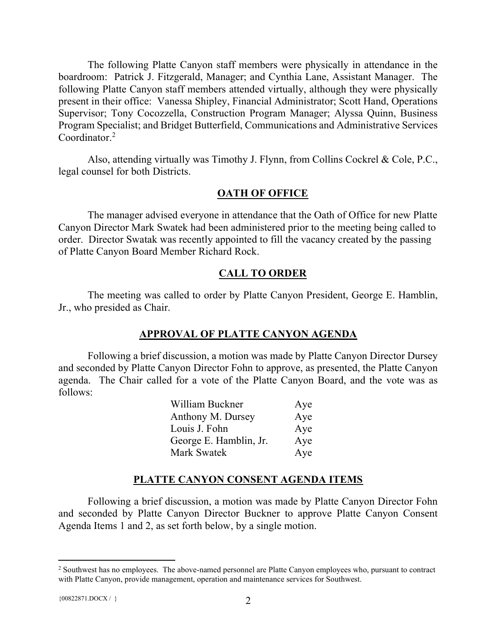The following Platte Canyon staff members were physically in attendance in the boardroom: Patrick J. Fitzgerald, Manager; and Cynthia Lane, Assistant Manager. The following Platte Canyon staff members attended virtually, although they were physically present in their office: Vanessa Shipley, Financial Administrator; Scott Hand, Operations Supervisor; Tony Cocozzella, Construction Program Manager; Alyssa Quinn, Business Program Specialist; and Bridget Butterfield, Communications and Administrative Services Coordinator.<sup>2</sup>

Also, attending virtually was Timothy J. Flynn, from Collins Cockrel & Cole, P.C., legal counsel for both Districts.

### **OATH OF OFFICE**

The manager advised everyone in attendance that the Oath of Office for new Platte Canyon Director Mark Swatek had been administered prior to the meeting being called to order. Director Swatak was recently appointed to fill the vacancy created by the passing of Platte Canyon Board Member Richard Rock.

### CALL TO ORDER

The meeting was called to order by Platte Canyon President, George E. Hamblin, Jr., who presided as Chair.

#### APPROVAL OF PLATTE CANYON AGENDA

Following a brief discussion, a motion was made by Platte Canyon Director Dursey and seconded by Platte Canyon Director Fohn to approve, as presented, the Platte Canyon agenda. The Chair called for a vote of the Platte Canyon Board, and the vote was as follows:

| William Buckner        | Aye |
|------------------------|-----|
| Anthony M. Dursey      | Aye |
| Louis J. Fohn          | Aye |
| George E. Hamblin, Jr. | Aye |
| Mark Swatek            | Aye |

#### PLATTE CANYON CONSENT AGENDA ITEMS

Following a brief discussion, a motion was made by Platte Canyon Director Fohn and seconded by Platte Canyon Director Buckner to approve Platte Canyon Consent Agenda Items 1 and 2, as set forth below, by a single motion.

<sup>&</sup>lt;sup>2</sup> Southwest has no employees. The above-named personnel are Platte Canyon employees who, pursuant to contract with Platte Canyon, provide management, operation and maintenance services for Southwest.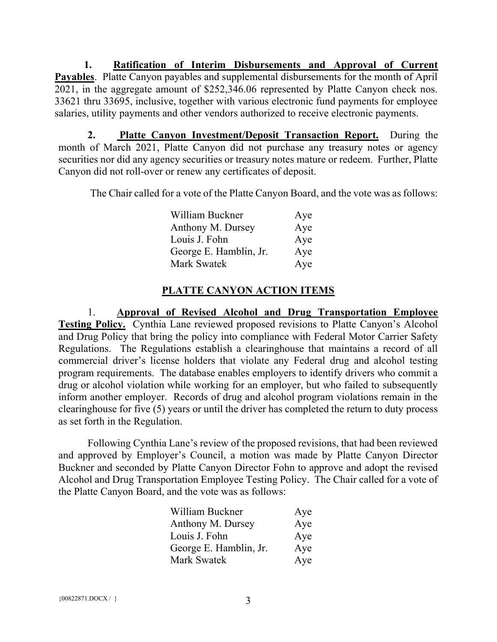1. Ratification of Interim Disbursements and Approval of Current Payables. Platte Canyon payables and supplemental disbursements for the month of April 2021, in the aggregate amount of \$252,346.06 represented by Platte Canyon check nos. 33621 thru 33695, inclusive, together with various electronic fund payments for employee salaries, utility payments and other vendors authorized to receive electronic payments.

2. Platte Canyon Investment/Deposit Transaction Report. During the month of March 2021, Platte Canyon did not purchase any treasury notes or agency securities nor did any agency securities or treasury notes mature or redeem. Further, Platte Canyon did not roll-over or renew any certificates of deposit.

The Chair called for a vote of the Platte Canyon Board, and the vote was as follows:

| William Buckner        | Aye |
|------------------------|-----|
| Anthony M. Dursey      | Aye |
| Louis J. Fohn          | Aye |
| George E. Hamblin, Jr. | Aye |
| Mark Swatek            | Aye |

### PLATTE CANYON ACTION ITEMS

1. Approval of Revised Alcohol and Drug Transportation Employee Testing Policy. Cynthia Lane reviewed proposed revisions to Platte Canyon's Alcohol and Drug Policy that bring the policy into compliance with Federal Motor Carrier Safety Regulations. The Regulations establish a clearinghouse that maintains a record of all commercial driver's license holders that violate any Federal drug and alcohol testing program requirements. The database enables employers to identify drivers who commit a drug or alcohol violation while working for an employer, but who failed to subsequently inform another employer. Records of drug and alcohol program violations remain in the clearinghouse for five (5) years or until the driver has completed the return to duty process as set forth in the Regulation.

Following Cynthia Lane's review of the proposed revisions, that had been reviewed and approved by Employer's Council, a motion was made by Platte Canyon Director Buckner and seconded by Platte Canyon Director Fohn to approve and adopt the revised Alcohol and Drug Transportation Employee Testing Policy. The Chair called for a vote of the Platte Canyon Board, and the vote was as follows:

| William Buckner        | Aye |
|------------------------|-----|
| Anthony M. Dursey      | Aye |
| Louis J. Fohn          | Aye |
| George E. Hamblin, Jr. | Aye |
| Mark Swatek            | Aye |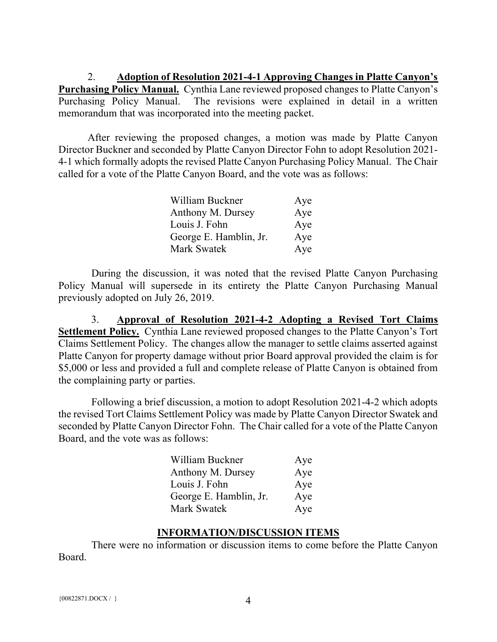2. Adoption of Resolution 2021-4-1 Approving Changes in Platte Canyon's Purchasing Policy Manual. Cynthia Lane reviewed proposed changes to Platte Canyon's Purchasing Policy Manual. The revisions were explained in detail in a written memorandum that was incorporated into the meeting packet.

After reviewing the proposed changes, a motion was made by Platte Canyon Director Buckner and seconded by Platte Canyon Director Fohn to adopt Resolution 2021- 4-1 which formally adopts the revised Platte Canyon Purchasing Policy Manual. The Chair called for a vote of the Platte Canyon Board, and the vote was as follows:

| William Buckner        | Aye |
|------------------------|-----|
| Anthony M. Dursey      | Aye |
| Louis J. Fohn          | Aye |
| George E. Hamblin, Jr. | Aye |
| Mark Swatek            | Aye |

 During the discussion, it was noted that the revised Platte Canyon Purchasing Policy Manual will supersede in its entirety the Platte Canyon Purchasing Manual previously adopted on July 26, 2019.

 3. Approval of Resolution 2021-4-2 Adopting a Revised Tort Claims Settlement Policy. Cynthia Lane reviewed proposed changes to the Platte Canyon's Tort Claims Settlement Policy. The changes allow the manager to settle claims asserted against Platte Canyon for property damage without prior Board approval provided the claim is for \$5,000 or less and provided a full and complete release of Platte Canyon is obtained from the complaining party or parties.

 Following a brief discussion, a motion to adopt Resolution 2021-4-2 which adopts the revised Tort Claims Settlement Policy was made by Platte Canyon Director Swatek and seconded by Platte Canyon Director Fohn. The Chair called for a vote of the Platte Canyon Board, and the vote was as follows:

| William Buckner        | Aye |
|------------------------|-----|
| Anthony M. Dursey      | Aye |
| Louis J. Fohn          | Aye |
| George E. Hamblin, Jr. | Aye |
| Mark Swatek            | Aye |

### INFORMATION/DISCUSSION ITEMS

 There were no information or discussion items to come before the Platte Canyon Board.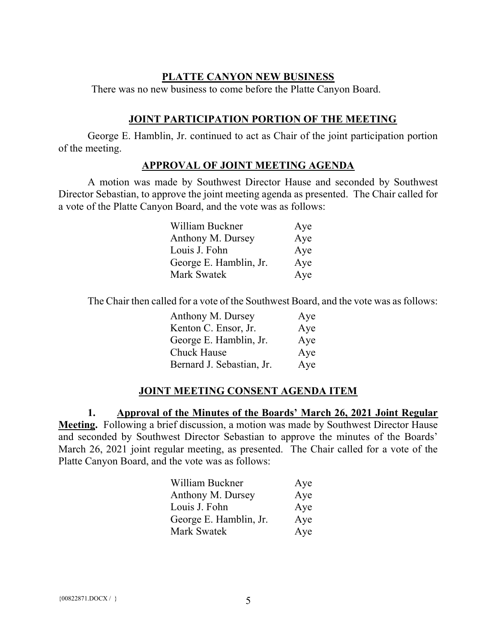### PLATTE CANYON NEW BUSINESS

There was no new business to come before the Platte Canyon Board.

### JOINT PARTICIPATION PORTION OF THE MEETING

George E. Hamblin, Jr. continued to act as Chair of the joint participation portion of the meeting.

### APPROVAL OF JOINT MEETING AGENDA

A motion was made by Southwest Director Hause and seconded by Southwest Director Sebastian, to approve the joint meeting agenda as presented. The Chair called for a vote of the Platte Canyon Board, and the vote was as follows:

| William Buckner        | Aye |
|------------------------|-----|
| Anthony M. Dursey      | Aye |
| Louis J. Fohn          | Aye |
| George E. Hamblin, Jr. | Aye |
| Mark Swatek            | Aye |

The Chair then called for a vote of the Southwest Board, and the vote was as follows:

| Anthony M. Dursey         | Aye |
|---------------------------|-----|
| Kenton C. Ensor, Jr.      | Aye |
| George E. Hamblin, Jr.    | Aye |
| <b>Chuck Hause</b>        | Aye |
| Bernard J. Sebastian, Jr. | Aye |

## JOINT MEETING CONSENT AGENDA ITEM

1. Approval of the Minutes of the Boards' March 26, 2021 Joint Regular Meeting. Following a brief discussion, a motion was made by Southwest Director Hause and seconded by Southwest Director Sebastian to approve the minutes of the Boards' March 26, 2021 joint regular meeting, as presented. The Chair called for a vote of the Platte Canyon Board, and the vote was as follows:

| William Buckner        | Aye |
|------------------------|-----|
| Anthony M. Dursey      | Aye |
| Louis J. Fohn          | Aye |
| George E. Hamblin, Jr. | Aye |
| Mark Swatek            | Aye |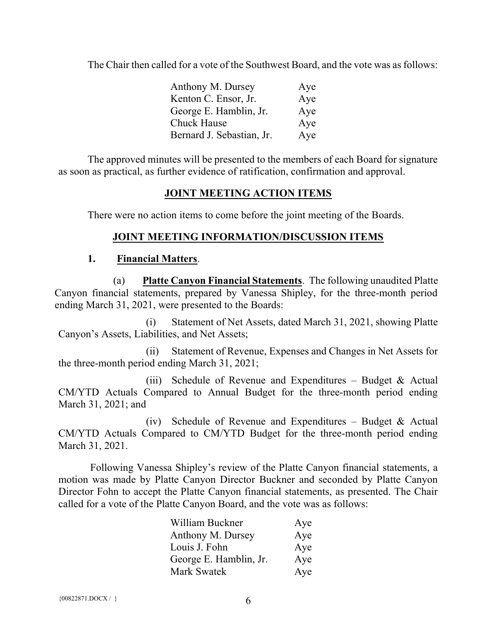The Chair then called for a vote of the Southwest Board, and the vote was as follows:

| Anthony M. Dursey         | Aye |
|---------------------------|-----|
| Kenton C. Ensor, Jr.      | Aye |
| George E. Hamblin, Jr.    | Aye |
| Chuck Hause               | Aye |
| Bernard J. Sebastian, Jr. | Aye |

The approved minutes will be presented to the members of each Board for signature as soon as practical, as further evidence of ratification, confirmation and approval.

## JOINT MEETING ACTION ITEMS

There were no action items to come before the joint meeting of the Boards.

## JOINT MEETING INFORMATION/DISCUSSION ITEMS

### 1. Financial Matters.

(a) Platte Canyon Financial Statements. The following unaudited Platte Canyon financial statements, prepared by Vanessa Shipley, for the three-month period ending March 31, 2021, were presented to the Boards:

(i) Statement of Net Assets, dated March 31, 2021, showing Platte Canyon's Assets, Liabilities, and Net Assets;

(ii) Statement of Revenue, Expenses and Changes in Net Assets for the three-month period ending March 31, 2021;

(iii) Schedule of Revenue and Expenditures – Budget & Actual CM/YTD Actuals Compared to Annual Budget for the three-month period ending March 31, 2021; and

(iv) Schedule of Revenue and Expenditures – Budget & Actual CM/YTD Actuals Compared to CM/YTD Budget for the three-month period ending March 31, 2021.

 Following Vanessa Shipley's review of the Platte Canyon financial statements, a motion was made by Platte Canyon Director Buckner and seconded by Platte Canyon Director Fohn to accept the Platte Canyon financial statements, as presented. The Chair called for a vote of the Platte Canyon Board, and the vote was as follows:

| William Buckner        | Aye |
|------------------------|-----|
| Anthony M. Dursey      | Aye |
| Louis J. Fohn          | Aye |
| George E. Hamblin, Jr. | Aye |
| Mark Swatek            | Aye |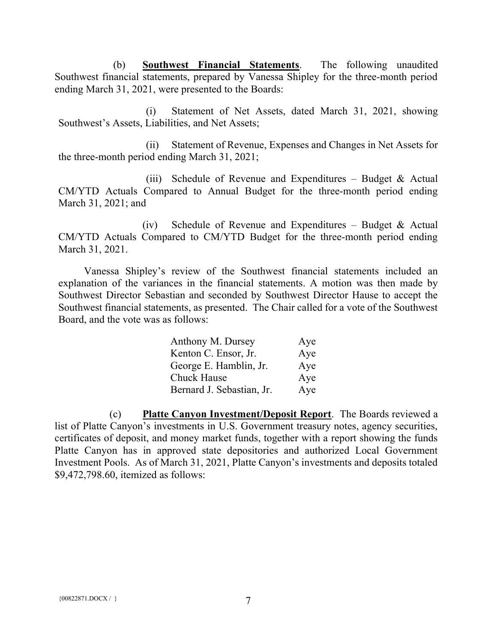(b) Southwest Financial Statements. The following unaudited Southwest financial statements, prepared by Vanessa Shipley for the three-month period ending March 31, 2021, were presented to the Boards:

(i) Statement of Net Assets, dated March 31, 2021, showing Southwest's Assets, Liabilities, and Net Assets;

(ii) Statement of Revenue, Expenses and Changes in Net Assets for the three-month period ending March 31, 2021;

(iii) Schedule of Revenue and Expenditures – Budget & Actual CM/YTD Actuals Compared to Annual Budget for the three-month period ending March 31, 2021; and

(iv) Schedule of Revenue and Expenditures – Budget & Actual CM/YTD Actuals Compared to CM/YTD Budget for the three-month period ending March 31, 2021.

Vanessa Shipley's review of the Southwest financial statements included an explanation of the variances in the financial statements. A motion was then made by Southwest Director Sebastian and seconded by Southwest Director Hause to accept the Southwest financial statements, as presented. The Chair called for a vote of the Southwest Board, and the vote was as follows:

| Anthony M. Dursey         | Aye |
|---------------------------|-----|
| Kenton C. Ensor, Jr.      | Aye |
| George E. Hamblin, Jr.    | Aye |
| <b>Chuck Hause</b>        | Aye |
| Bernard J. Sebastian, Jr. | Aye |

(c) Platte Canyon Investment/Deposit Report. The Boards reviewed a list of Platte Canyon's investments in U.S. Government treasury notes, agency securities, certificates of deposit, and money market funds, together with a report showing the funds Platte Canyon has in approved state depositories and authorized Local Government Investment Pools. As of March 31, 2021, Platte Canyon's investments and deposits totaled \$9,472,798.60, itemized as follows: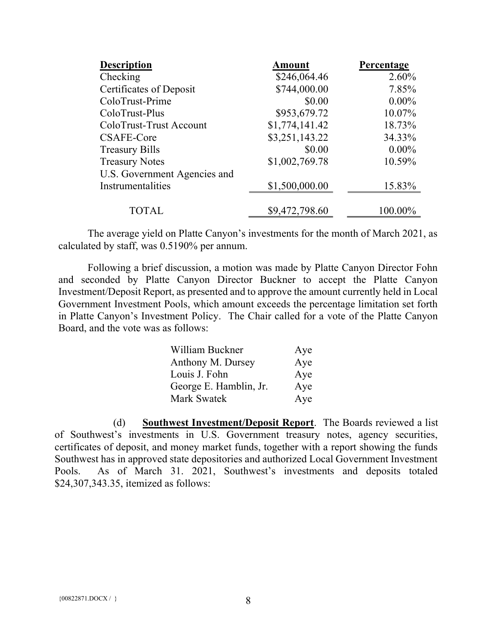| <b>Description</b>           | <b>Amount</b>  | Percentage |
|------------------------------|----------------|------------|
| Checking                     | \$246,064.46   | 2.60%      |
| Certificates of Deposit      | \$744,000.00   | 7.85%      |
| ColoTrust-Prime              | \$0.00         | $0.00\%$   |
| ColoTrust-Plus               | \$953,679.72   | 10.07%     |
| ColoTrust-Trust Account      | \$1,774,141.42 | 18.73%     |
| <b>CSAFE-Core</b>            | \$3,251,143.22 | 34.33%     |
| <b>Treasury Bills</b>        | \$0.00         | $0.00\%$   |
| <b>Treasury Notes</b>        | \$1,002,769.78 | 10.59%     |
| U.S. Government Agencies and |                |            |
| Instrumentalities            | \$1,500,000.00 | 15.83%     |
|                              |                |            |
| <b>TOTAL</b>                 | \$9,472,798.60 | 100.00%    |

The average yield on Platte Canyon's investments for the month of March 2021, as calculated by staff, was 0.5190% per annum.

Following a brief discussion, a motion was made by Platte Canyon Director Fohn and seconded by Platte Canyon Director Buckner to accept the Platte Canyon Investment/Deposit Report, as presented and to approve the amount currently held in Local Government Investment Pools, which amount exceeds the percentage limitation set forth in Platte Canyon's Investment Policy. The Chair called for a vote of the Platte Canyon Board, and the vote was as follows:

| William Buckner        | Aye |
|------------------------|-----|
| Anthony M. Dursey      | Aye |
| Louis J. Fohn          | Aye |
| George E. Hamblin, Jr. | Aye |
| Mark Swatek            | Aye |

(d) Southwest Investment/Deposit Report. The Boards reviewed a list of Southwest's investments in U.S. Government treasury notes, agency securities, certificates of deposit, and money market funds, together with a report showing the funds Southwest has in approved state depositories and authorized Local Government Investment Pools. As of March 31. 2021, Southwest's investments and deposits totaled \$24,307,343.35, itemized as follows: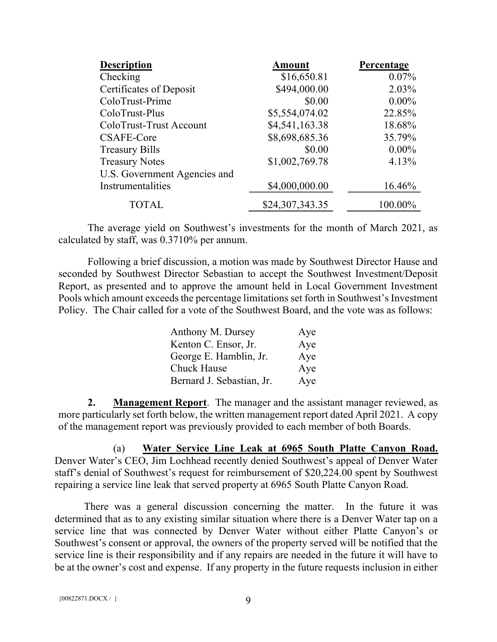| <b>Description</b>           | <b>Amount</b>   | Percentage |
|------------------------------|-----------------|------------|
| Checking                     | \$16,650.81     | $0.07\%$   |
| Certificates of Deposit      | \$494,000.00    | 2.03%      |
| ColoTrust-Prime              | \$0.00          | $0.00\%$   |
| ColoTrust-Plus               | \$5,554,074.02  | 22.85%     |
| ColoTrust-Trust Account      | \$4,541,163.38  | 18.68%     |
| CSAFE-Core                   | \$8,698,685.36  | 35.79%     |
| <b>Treasury Bills</b>        | \$0.00          | $0.00\%$   |
| <b>Treasury Notes</b>        | \$1,002,769.78  | 4.13%      |
| U.S. Government Agencies and |                 |            |
| Instrumentalities            | \$4,000,000.00  | 16.46%     |
| <b>TOTAL</b>                 | \$24,307,343.35 | 100.00%    |

The average yield on Southwest's investments for the month of March 2021, as calculated by staff, was 0.3710% per annum.

Following a brief discussion, a motion was made by Southwest Director Hause and seconded by Southwest Director Sebastian to accept the Southwest Investment/Deposit Report, as presented and to approve the amount held in Local Government Investment Pools which amount exceeds the percentage limitations set forth in Southwest's Investment Policy. The Chair called for a vote of the Southwest Board, and the vote was as follows:

| Anthony M. Dursey         | Aye |
|---------------------------|-----|
| Kenton C. Ensor, Jr.      | Aye |
| George E. Hamblin, Jr.    | Aye |
| <b>Chuck Hause</b>        | Aye |
| Bernard J. Sebastian, Jr. | Aye |

2. Management Report. The manager and the assistant manager reviewed, as more particularly set forth below, the written management report dated April 2021. A copy of the management report was previously provided to each member of both Boards.

(a) Water Service Line Leak at 6965 South Platte Canyon Road. Denver Water's CEO, Jim Lochhead recently denied Southwest's appeal of Denver Water staff's denial of Southwest's request for reimbursement of \$20,224.00 spent by Southwest repairing a service line leak that served property at 6965 South Platte Canyon Road.

There was a general discussion concerning the matter. In the future it was determined that as to any existing similar situation where there is a Denver Water tap on a service line that was connected by Denver Water without either Platte Canyon's or Southwest's consent or approval, the owners of the property served will be notified that the service line is their responsibility and if any repairs are needed in the future it will have to be at the owner's cost and expense. If any property in the future requests inclusion in either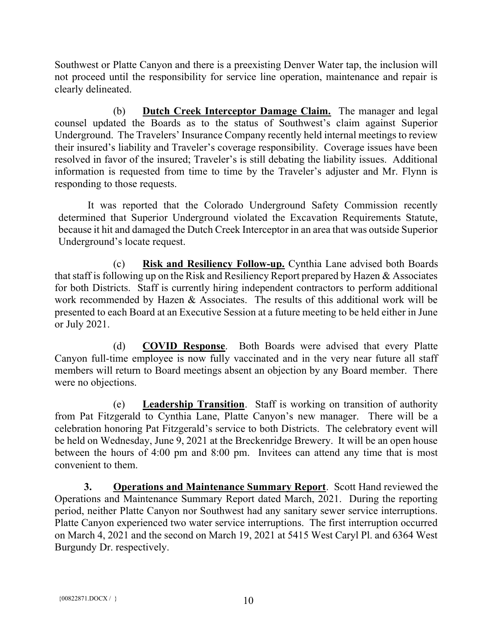Southwest or Platte Canyon and there is a preexisting Denver Water tap, the inclusion will not proceed until the responsibility for service line operation, maintenance and repair is clearly delineated.

(b) Dutch Creek Interceptor Damage Claim. The manager and legal counsel updated the Boards as to the status of Southwest's claim against Superior Underground. The Travelers' Insurance Company recently held internal meetings to review their insured's liability and Traveler's coverage responsibility. Coverage issues have been resolved in favor of the insured; Traveler's is still debating the liability issues. Additional information is requested from time to time by the Traveler's adjuster and Mr. Flynn is responding to those requests.

It was reported that the Colorado Underground Safety Commission recently determined that Superior Underground violated the Excavation Requirements Statute, because it hit and damaged the Dutch Creek Interceptor in an area that was outside Superior Underground's locate request.

(c) Risk and Resiliency Follow-up. Cynthia Lane advised both Boards that staff is following up on the Risk and Resiliency Report prepared by Hazen & Associates for both Districts. Staff is currently hiring independent contractors to perform additional work recommended by Hazen & Associates. The results of this additional work will be presented to each Board at an Executive Session at a future meeting to be held either in June or July 2021.

(d) COVID Response. Both Boards were advised that every Platte Canyon full-time employee is now fully vaccinated and in the very near future all staff members will return to Board meetings absent an objection by any Board member. There were no objections.

(e) Leadership Transition. Staff is working on transition of authority from Pat Fitzgerald to Cynthia Lane, Platte Canyon's new manager. There will be a celebration honoring Pat Fitzgerald's service to both Districts. The celebratory event will be held on Wednesday, June 9, 2021 at the Breckenridge Brewery. It will be an open house between the hours of 4:00 pm and 8:00 pm. Invitees can attend any time that is most convenient to them.

3. Operations and Maintenance Summary Report. Scott Hand reviewed the Operations and Maintenance Summary Report dated March, 2021. During the reporting period, neither Platte Canyon nor Southwest had any sanitary sewer service interruptions. Platte Canyon experienced two water service interruptions. The first interruption occurred on March 4, 2021 and the second on March 19, 2021 at 5415 West Caryl Pl. and 6364 West Burgundy Dr. respectively.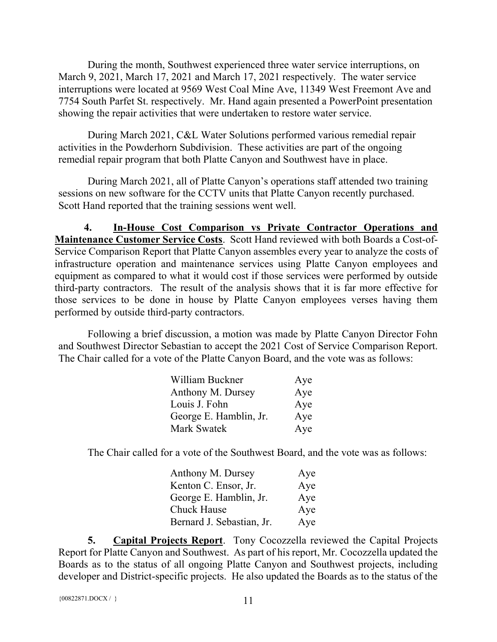During the month, Southwest experienced three water service interruptions, on March 9, 2021, March 17, 2021 and March 17, 2021 respectively. The water service interruptions were located at 9569 West Coal Mine Ave, 11349 West Freemont Ave and 7754 South Parfet St. respectively. Mr. Hand again presented a PowerPoint presentation showing the repair activities that were undertaken to restore water service.

During March 2021, C&L Water Solutions performed various remedial repair activities in the Powderhorn Subdivision. These activities are part of the ongoing remedial repair program that both Platte Canyon and Southwest have in place.

During March 2021, all of Platte Canyon's operations staff attended two training sessions on new software for the CCTV units that Platte Canyon recently purchased. Scott Hand reported that the training sessions went well.

4. In-House Cost Comparison vs Private Contractor Operations and Maintenance Customer Service Costs. Scott Hand reviewed with both Boards a Cost-of-Service Comparison Report that Platte Canyon assembles every year to analyze the costs of infrastructure operation and maintenance services using Platte Canyon employees and equipment as compared to what it would cost if those services were performed by outside third-party contractors. The result of the analysis shows that it is far more effective for those services to be done in house by Platte Canyon employees verses having them performed by outside third-party contractors.

Following a brief discussion, a motion was made by Platte Canyon Director Fohn and Southwest Director Sebastian to accept the 2021 Cost of Service Comparison Report. The Chair called for a vote of the Platte Canyon Board, and the vote was as follows:

| William Buckner        | Aye |
|------------------------|-----|
| Anthony M. Dursey      | Aye |
| Louis J. Fohn          | Aye |
| George E. Hamblin, Jr. | Aye |
| Mark Swatek            | Aye |

The Chair called for a vote of the Southwest Board, and the vote was as follows:

| Anthony M. Dursey         | Aye |
|---------------------------|-----|
| Kenton C. Ensor, Jr.      | Aye |
| George E. Hamblin, Jr.    | Aye |
| Chuck Hause               | Aye |
| Bernard J. Sebastian, Jr. | Aye |

5. Capital Projects Report. Tony Cocozzella reviewed the Capital Projects Report for Platte Canyon and Southwest. As part of his report, Mr. Cocozzella updated the Boards as to the status of all ongoing Platte Canyon and Southwest projects, including developer and District-specific projects. He also updated the Boards as to the status of the

```
{00822871.DOCX / }}
```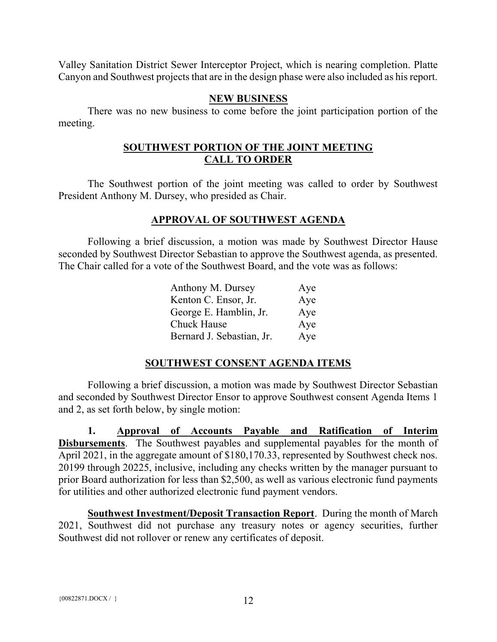Valley Sanitation District Sewer Interceptor Project, which is nearing completion. Platte Canyon and Southwest projects that are in the design phase were also included as his report.

### NEW BUSINESS

There was no new business to come before the joint participation portion of the meeting.

## SOUTHWEST PORTION OF THE JOINT MEETING CALL TO ORDER

The Southwest portion of the joint meeting was called to order by Southwest President Anthony M. Dursey, who presided as Chair.

## APPROVAL OF SOUTHWEST AGENDA

Following a brief discussion, a motion was made by Southwest Director Hause seconded by Southwest Director Sebastian to approve the Southwest agenda, as presented. The Chair called for a vote of the Southwest Board, and the vote was as follows:

| Anthony M. Dursey         | Aye |
|---------------------------|-----|
| Kenton C. Ensor, Jr.      | Aye |
| George E. Hamblin, Jr.    | Aye |
| <b>Chuck Hause</b>        | Aye |
| Bernard J. Sebastian, Jr. | Aye |

# SOUTHWEST CONSENT AGENDA ITEMS

Following a brief discussion, a motion was made by Southwest Director Sebastian and seconded by Southwest Director Ensor to approve Southwest consent Agenda Items 1 and 2, as set forth below, by single motion:

1. Approval of Accounts Payable and Ratification of Interim Disbursements. The Southwest payables and supplemental payables for the month of April 2021, in the aggregate amount of \$180,170.33, represented by Southwest check nos. 20199 through 20225, inclusive, including any checks written by the manager pursuant to prior Board authorization for less than \$2,500, as well as various electronic fund payments for utilities and other authorized electronic fund payment vendors.

Southwest Investment/Deposit Transaction Report. During the month of March 2021, Southwest did not purchase any treasury notes or agency securities, further Southwest did not rollover or renew any certificates of deposit.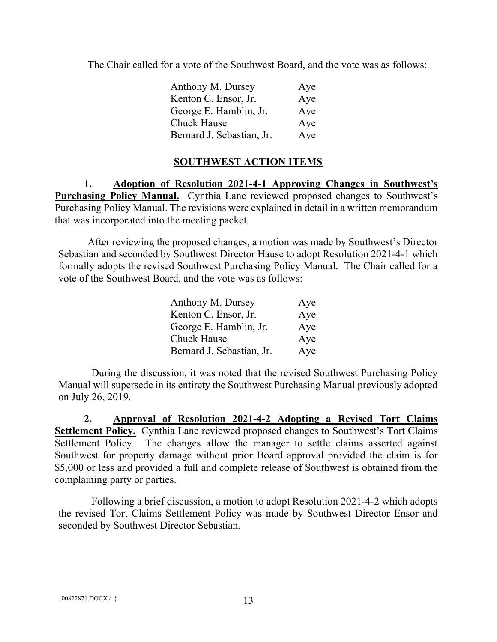The Chair called for a vote of the Southwest Board, and the vote was as follows:

| Anthony M. Dursey         | Aye |
|---------------------------|-----|
| Kenton C. Ensor, Jr.      | Aye |
| George E. Hamblin, Jr.    | Aye |
| <b>Chuck Hause</b>        | Aye |
| Bernard J. Sebastian, Jr. | Aye |

# SOUTHWEST ACTION ITEMS

1. Adoption of Resolution 2021-4-1 Approving Changes in Southwest's Purchasing Policy Manual. Cynthia Lane reviewed proposed changes to Southwest's Purchasing Policy Manual. The revisions were explained in detail in a written memorandum that was incorporated into the meeting packet.

After reviewing the proposed changes, a motion was made by Southwest's Director Sebastian and seconded by Southwest Director Hause to adopt Resolution 2021-4-1 which formally adopts the revised Southwest Purchasing Policy Manual. The Chair called for a vote of the Southwest Board, and the vote was as follows:

| Anthony M. Dursey         | Aye |
|---------------------------|-----|
| Kenton C. Ensor, Jr.      | Aye |
| George E. Hamblin, Jr.    | Aye |
| Chuck Hause               | Aye |
| Bernard J. Sebastian, Jr. | Aye |

 During the discussion, it was noted that the revised Southwest Purchasing Policy Manual will supersede in its entirety the Southwest Purchasing Manual previously adopted on July 26, 2019.

2. Approval of Resolution 2021-4-2 Adopting a Revised Tort Claims Settlement Policy. Cynthia Lane reviewed proposed changes to Southwest's Tort Claims Settlement Policy. The changes allow the manager to settle claims asserted against Southwest for property damage without prior Board approval provided the claim is for \$5,000 or less and provided a full and complete release of Southwest is obtained from the complaining party or parties.

 Following a brief discussion, a motion to adopt Resolution 2021-4-2 which adopts the revised Tort Claims Settlement Policy was made by Southwest Director Ensor and seconded by Southwest Director Sebastian.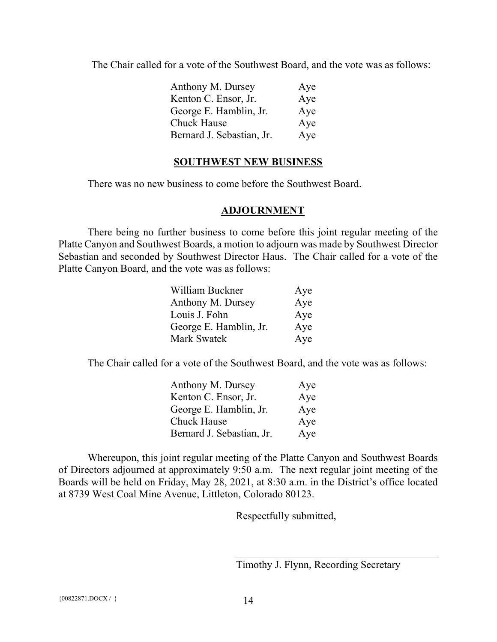The Chair called for a vote of the Southwest Board, and the vote was as follows:

| Anthony M. Dursey         | Aye |
|---------------------------|-----|
| Kenton C. Ensor, Jr.      | Aye |
| George E. Hamblin, Jr.    | Aye |
| <b>Chuck Hause</b>        | Aye |
| Bernard J. Sebastian, Jr. | Aye |

### SOUTHWEST NEW BUSINESS

There was no new business to come before the Southwest Board.

### ADJOURNMENT

There being no further business to come before this joint regular meeting of the Platte Canyon and Southwest Boards, a motion to adjourn was made by Southwest Director Sebastian and seconded by Southwest Director Haus. The Chair called for a vote of the Platte Canyon Board, and the vote was as follows:

| William Buckner        | Aye |
|------------------------|-----|
| Anthony M. Dursey      | Aye |
| Louis J. Fohn          | Aye |
| George E. Hamblin, Jr. | Aye |
| Mark Swatek            | Aye |

The Chair called for a vote of the Southwest Board, and the vote was as follows:

| Anthony M. Dursey         | Aye |
|---------------------------|-----|
| Kenton C. Ensor, Jr.      | Aye |
| George E. Hamblin, Jr.    | Aye |
| Chuck Hause               | Aye |
| Bernard J. Sebastian, Jr. | Aye |

Whereupon, this joint regular meeting of the Platte Canyon and Southwest Boards of Directors adjourned at approximately 9:50 a.m. The next regular joint meeting of the Boards will be held on Friday, May 28, 2021, at 8:30 a.m. in the District's office located at 8739 West Coal Mine Avenue, Littleton, Colorado 80123.

Respectfully submitted,

Timothy J. Flynn, Recording Secretary